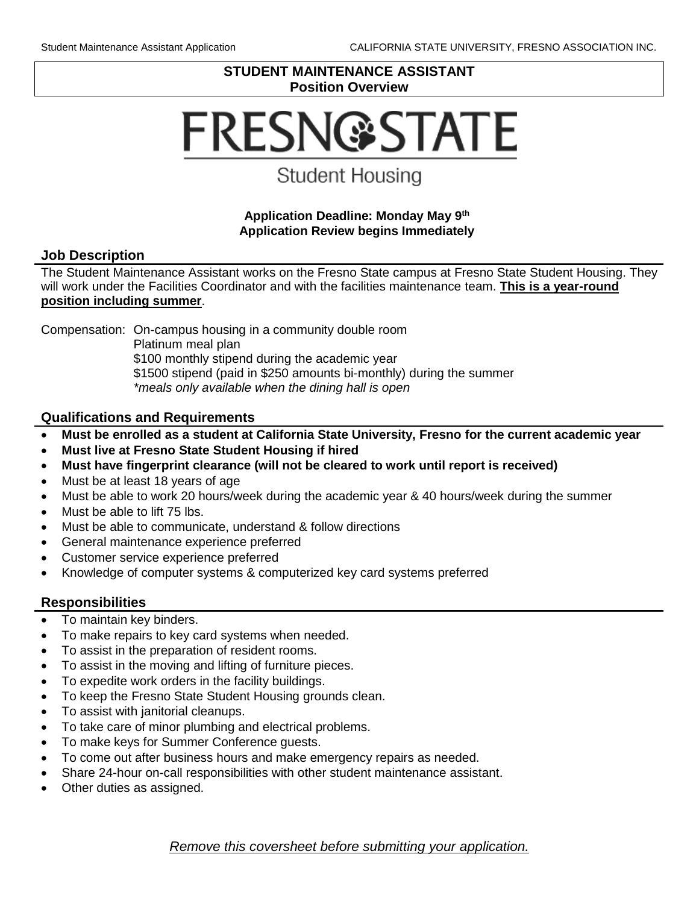#### **STUDENT MAINTENANCE ASSISTANT Position Overview**

# **FRESN@STATE**

## **Student Housing**

#### **Application Deadline: Monday May 9th Application Review begins Immediately**

#### **Job Description**

The Student Maintenance Assistant works on the Fresno State campus at Fresno State Student Housing. They will work under the Facilities Coordinator and with the facilities maintenance team. **This is a year-round position including summer**.

Compensation: On-campus housing in a community double room

Platinum meal plan

\$100 monthly stipend during the academic year

\$1500 stipend (paid in \$250 amounts bi-monthly) during the summer

*\*meals only available when the dining hall is open*

#### **Qualifications and Requirements**

- **Must be enrolled as a student at California State University, Fresno for the current academic year**
- **Must live at Fresno State Student Housing if hired**
- **Must have fingerprint clearance (will not be cleared to work until report is received)**
- Must be at least 18 years of age
- Must be able to work 20 hours/week during the academic year & 40 hours/week during the summer
- Must be able to lift 75 lbs.
- Must be able to communicate, understand & follow directions
- General maintenance experience preferred
- Customer service experience preferred
- Knowledge of computer systems & computerized key card systems preferred

#### **Responsibilities**

- To maintain key binders.
- To make repairs to key card systems when needed.
- To assist in the preparation of resident rooms.
- To assist in the moving and lifting of furniture pieces.
- To expedite work orders in the facility buildings.
- To keep the Fresno State Student Housing grounds clean.
- To assist with janitorial cleanups.
- To take care of minor plumbing and electrical problems.
- To make keys for Summer Conference guests.
- To come out after business hours and make emergency repairs as needed.
- Share 24-hour on-call responsibilities with other student maintenance assistant.
- Other duties as assigned.

*Remove this coversheet before submitting your application.*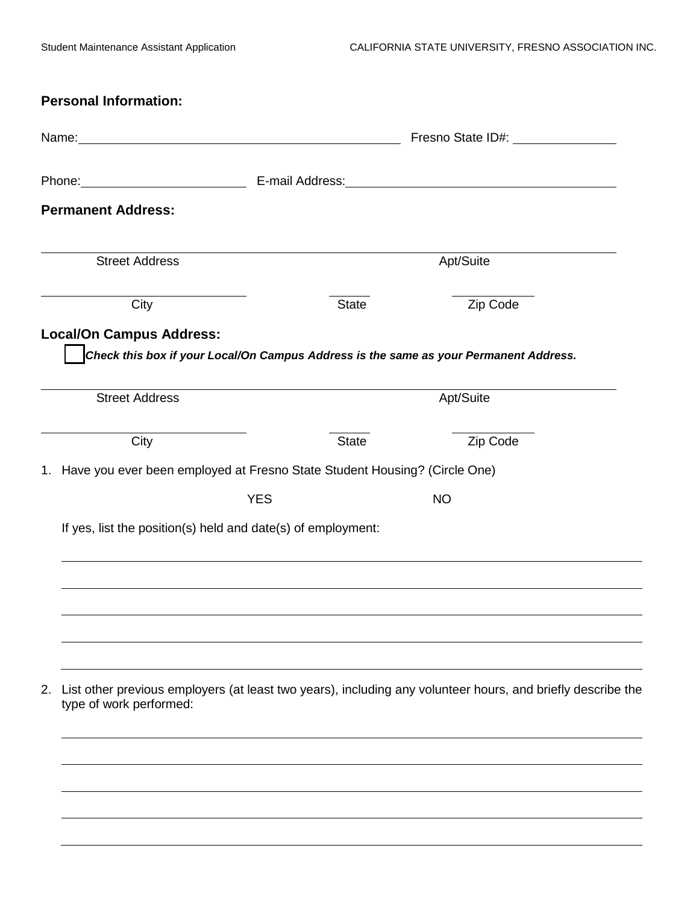| <b>Personal Information:</b>                                                                                                                                                                                                   |            |              |                                                                                                                                                                                                                                |  |
|--------------------------------------------------------------------------------------------------------------------------------------------------------------------------------------------------------------------------------|------------|--------------|--------------------------------------------------------------------------------------------------------------------------------------------------------------------------------------------------------------------------------|--|
|                                                                                                                                                                                                                                |            |              | Fresno State ID#: Version Change of The Changes of The Changes of The Changes of The Changes of The Changes                                                                                                                    |  |
| Phone: Note: Note: Note: Note: Note: Note: Note: Note: Note: Note: Note: Note: Note: Note: Note: Note: Note: Note: Note: Note: Note: Note: Note: Note: Note: Note: Note: Note: Note: Note: Note: Note: Note: Note: Note: Note: |            |              | E-mail Address: National Address: National Address: National Address: National Address: National Address: National Address: National Address: National Address: National Address: National Address: National Address: National |  |
| <b>Permanent Address:</b>                                                                                                                                                                                                      |            |              |                                                                                                                                                                                                                                |  |
| <b>Street Address</b>                                                                                                                                                                                                          |            |              | Apt/Suite                                                                                                                                                                                                                      |  |
| City                                                                                                                                                                                                                           |            | <b>State</b> | Zip Code                                                                                                                                                                                                                       |  |
| <b>Local/On Campus Address:</b>                                                                                                                                                                                                |            |              | Check this box if your Local/On Campus Address is the same as your Permanent Address.                                                                                                                                          |  |
| <b>Street Address</b>                                                                                                                                                                                                          |            |              | Apt/Suite                                                                                                                                                                                                                      |  |
| City                                                                                                                                                                                                                           |            | <b>State</b> | Zip Code                                                                                                                                                                                                                       |  |
| 1. Have you ever been employed at Fresno State Student Housing? (Circle One)                                                                                                                                                   |            |              |                                                                                                                                                                                                                                |  |
|                                                                                                                                                                                                                                | <b>YES</b> |              | <b>NO</b>                                                                                                                                                                                                                      |  |
| If yes, list the position(s) held and date(s) of employment:                                                                                                                                                                   |            |              |                                                                                                                                                                                                                                |  |
|                                                                                                                                                                                                                                |            |              |                                                                                                                                                                                                                                |  |
|                                                                                                                                                                                                                                |            |              |                                                                                                                                                                                                                                |  |
|                                                                                                                                                                                                                                |            |              |                                                                                                                                                                                                                                |  |
| 2.<br>type of work performed:                                                                                                                                                                                                  |            |              | List other previous employers (at least two years), including any volunteer hours, and briefly describe the                                                                                                                    |  |
|                                                                                                                                                                                                                                |            |              |                                                                                                                                                                                                                                |  |
|                                                                                                                                                                                                                                |            |              |                                                                                                                                                                                                                                |  |
|                                                                                                                                                                                                                                |            |              |                                                                                                                                                                                                                                |  |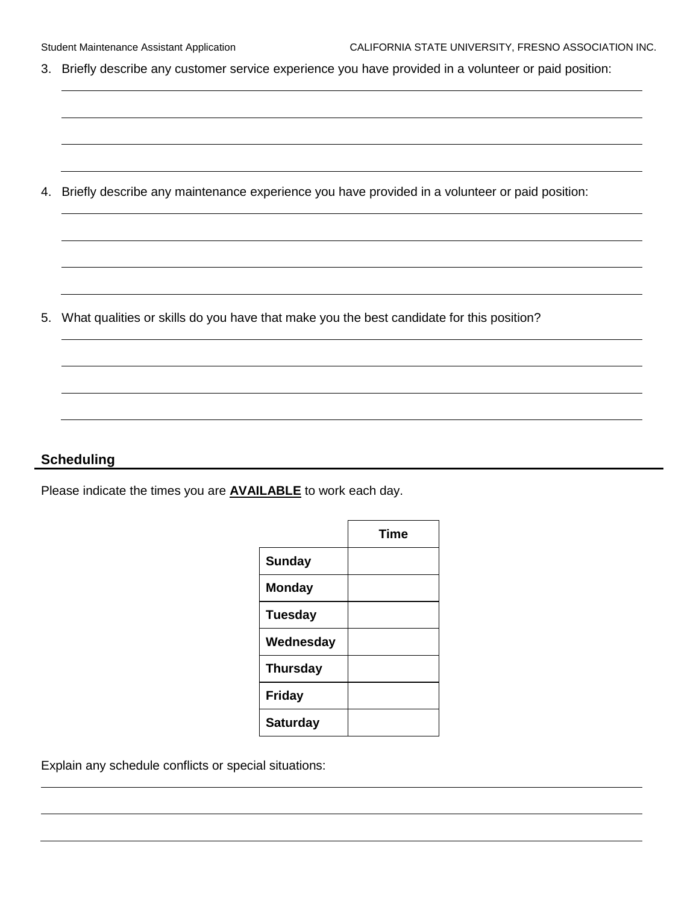3. Briefly describe any customer service experience you have provided in a volunteer or paid position:

4. Briefly describe any maintenance experience you have provided in a volunteer or paid position:

5. What qualities or skills do you have that make you the best candidate for this position?

#### **Scheduling**

Please indicate the times you are **AVAILABLE** to work each day.

|                 | <b>Time</b> |
|-----------------|-------------|
| <b>Sunday</b>   |             |
| <b>Monday</b>   |             |
| <b>Tuesday</b>  |             |
| Wednesday       |             |
| <b>Thursday</b> |             |
| <b>Friday</b>   |             |
| <b>Saturday</b> |             |

Explain any schedule conflicts or special situations: